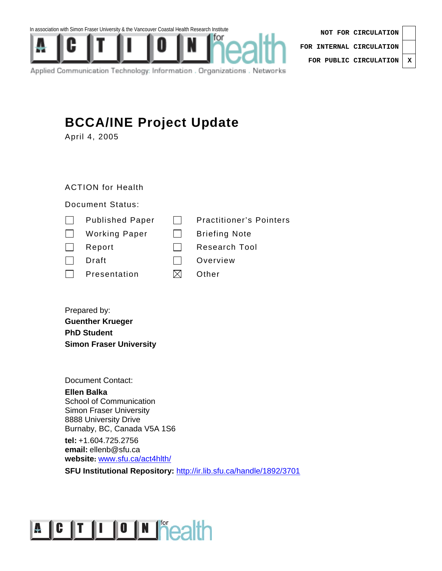In association with Simon Fraser University & the Vancouver Coastal Health Research Institute



| NOT FOR CIRCULATION              |  |  |
|----------------------------------|--|--|
| FOR INTERNAL CIRCULATION $\vert$ |  |  |
| FOR PUBLIC CIRCULATION   X       |  |  |

Applied Communication Technology: Information . Organizations . Networks

## **BCCA/INE Project Update**

April 4, 2005

ACTION for Health

## Document Status:

| <b>Published Paper</b> | <b>Practitioner's Pointers</b> |
|------------------------|--------------------------------|
| <b>Working Paper</b>   | <b>Briefing Note</b>           |
| Report                 | Research Tool                  |
| Draft                  | Overview                       |
| Presentation           | Other                          |
|                        |                                |

Prepared by: **Guenther Krueger PhD Student Simon Fraser University** 

Document Contact:

**Ellen Balka**  School of Communication Simon Fraser University 8888 University Drive Burnaby, BC, Canada V5A 1S6

**tel:** +1.604.725.2756 **email:** ellenb@sfu.ca **website:** www.sfu.ca/act4hlth/

**SFU Institutional Repository:** http://ir.lib.sfu.ca/handle/1892/3701